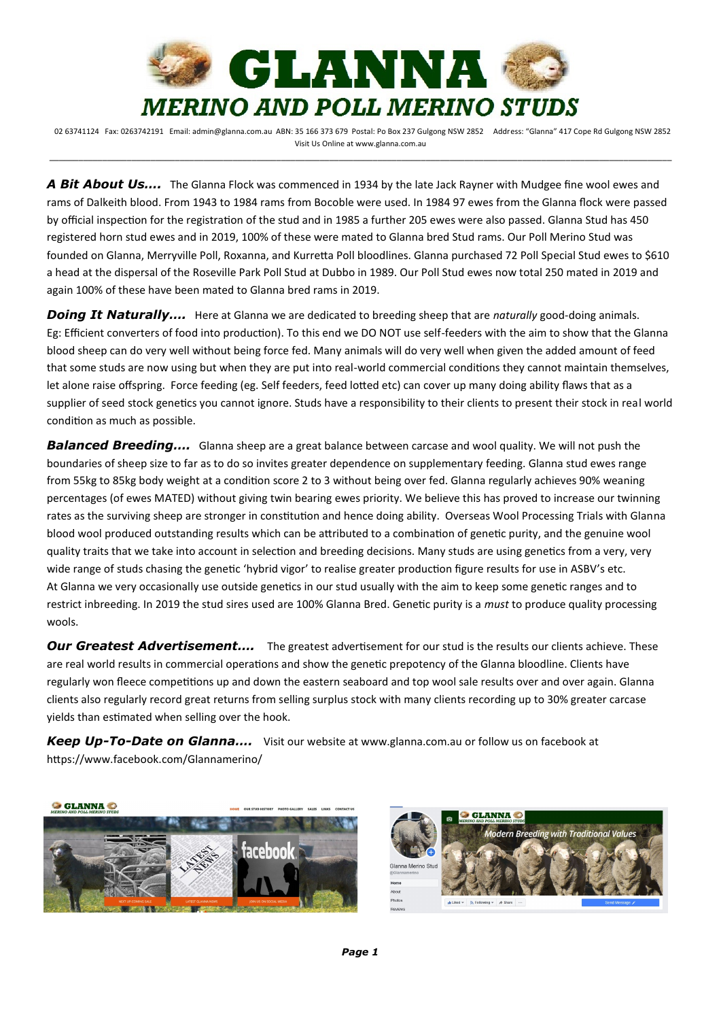

*A Bit About Us….* The Glanna Flock was commenced in 1934 by the late Jack Rayner with Mudgee fine wool ewes and rams of Dalkeith blood. From 1943 to 1984 rams from Bocoble were used. In 1984 97 ewes from the Glanna flock were passed by official inspection for the registration of the stud and in 1985 a further 205 ewes were also passed. Glanna Stud has 450 registered horn stud ewes and in 2019, 100% of these were mated to Glanna bred Stud rams. Our Poll Merino Stud was founded on Glanna, Merryville Poll, Roxanna, and Kurretta Poll bloodlines. Glanna purchased 72 Poll Special Stud ewes to \$610 a head at the dispersal of the Roseville Park Poll Stud at Dubbo in 1989. Our Poll Stud ewes now total 250 mated in 2019 and again 100% of these have been mated to Glanna bred rams in 2019.

*Doing It Naturally….* Here at Glanna we are dedicated to breeding sheep that are *naturally* good-doing animals. Eg: Efficient converters of food into production). To this end we DO NOT use self-feeders with the aim to show that the Glanna blood sheep can do very well without being force fed. Many animals will do very well when given the added amount of feed that some studs are now using but when they are put into real-world commercial conditions they cannot maintain themselves, let alone raise offspring. Force feeding (eg. Self feeders, feed lotted etc) can cover up many doing ability flaws that as a supplier of seed stock genetics you cannot ignore. Studs have a responsibility to their clients to present their stock in real world condition as much as possible.

*Balanced Breeding….* Glanna sheep are a great balance between carcase and wool quality. We will not push the boundaries of sheep size to far as to do so invites greater dependence on supplementary feeding. Glanna stud ewes range from 55kg to 85kg body weight at a condition score 2 to 3 without being over fed. Glanna regularly achieves 90% weaning percentages (of ewes MATED) without giving twin bearing ewes priority. We believe this has proved to increase our twinning rates as the surviving sheep are stronger in constitution and hence doing ability. Overseas Wool Processing Trials with Glanna blood wool produced outstanding results which can be attributed to a combination of genetic purity, and the genuine wool quality traits that we take into account in selection and breeding decisions. Many studs are using genetics from a very, very wide range of studs chasing the genetic 'hybrid vigor' to realise greater production figure results for use in ASBV's etc. At Glanna we very occasionally use outside genetics in our stud usually with the aim to keep some genetic ranges and to restrict inbreeding. In 2019 the stud sires used are 100% Glanna Bred. Genetic purity is a *must* to produce quality processing wools.

**Our Greatest Advertisement....** The greatest advertisement for our stud is the results our clients achieve. These are real world results in commercial operations and show the genetic prepotency of the Glanna bloodline. Clients have regularly won fleece competitions up and down the eastern seaboard and top wool sale results over and over again. Glanna clients also regularly record great returns from selling surplus stock with many clients recording up to 30% greater carcase yields than estimated when selling over the hook.

*Keep Up-To-Date on Glanna….* Visit our website at www.glanna.com.au or follow us on facebook at https://www.facebook.com/Glannamerino/





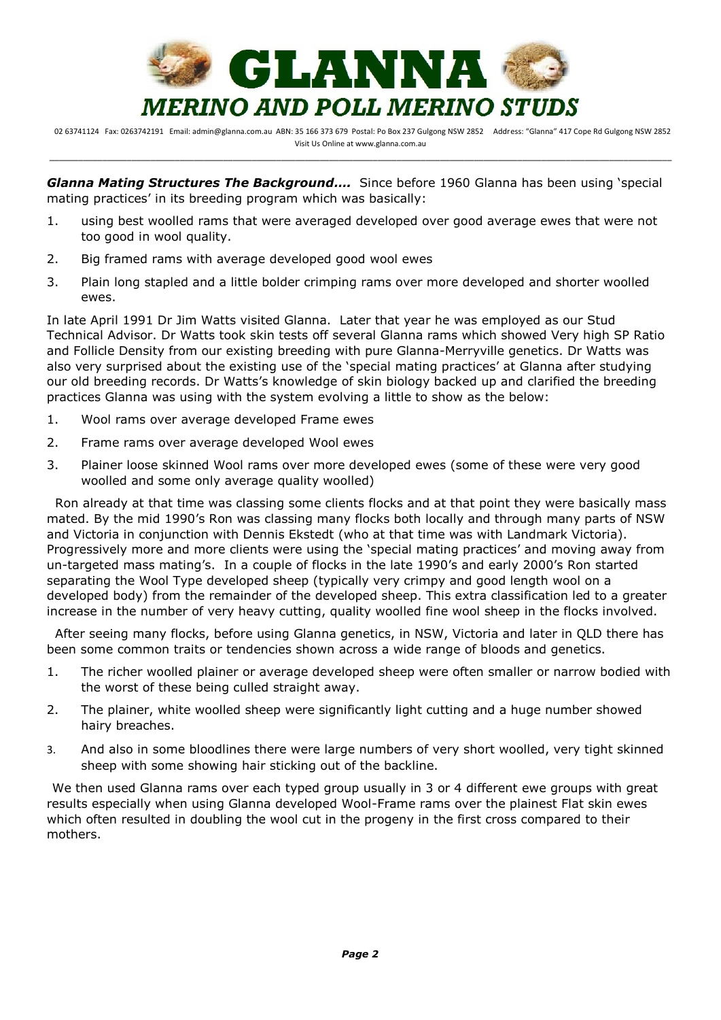

*Glanna Mating Structures The Background….* Since before 1960 Glanna has been using 'special mating practices' in its breeding program which was basically:

- 1. using best woolled rams that were averaged developed over good average ewes that were not too good in wool quality.
- 2. Big framed rams with average developed good wool ewes
- 3. Plain long stapled and a little bolder crimping rams over more developed and shorter woolled ewes.

In late April 1991 Dr Jim Watts visited Glanna. Later that year he was employed as our Stud Technical Advisor. Dr Watts took skin tests off several Glanna rams which showed Very high SP Ratio and Follicle Density from our existing breeding with pure Glanna-Merryville genetics. Dr Watts was also very surprised about the existing use of the 'special mating practices' at Glanna after studying our old breeding records. Dr Watts's knowledge of skin biology backed up and clarified the breeding practices Glanna was using with the system evolving a little to show as the below:

- 1. Wool rams over average developed Frame ewes
- 2. Frame rams over average developed Wool ewes
- 3. Plainer loose skinned Wool rams over more developed ewes (some of these were very good woolled and some only average quality woolled)

 Ron already at that time was classing some clients flocks and at that point they were basically mass mated. By the mid 1990's Ron was classing many flocks both locally and through many parts of NSW and Victoria in conjunction with Dennis Ekstedt (who at that time was with Landmark Victoria). Progressively more and more clients were using the 'special mating practices' and moving away from un-targeted mass mating's. In a couple of flocks in the late 1990's and early 2000's Ron started separating the Wool Type developed sheep (typically very crimpy and good length wool on a developed body) from the remainder of the developed sheep. This extra classification led to a greater increase in the number of very heavy cutting, quality woolled fine wool sheep in the flocks involved.

 After seeing many flocks, before using Glanna genetics, in NSW, Victoria and later in QLD there has been some common traits or tendencies shown across a wide range of bloods and genetics.

- 1. The richer woolled plainer or average developed sheep were often smaller or narrow bodied with the worst of these being culled straight away.
- 2. The plainer, white woolled sheep were significantly light cutting and a huge number showed hairy breaches.
- 3. And also in some bloodlines there were large numbers of very short woolled, very tight skinned sheep with some showing hair sticking out of the backline.

 We then used Glanna rams over each typed group usually in 3 or 4 different ewe groups with great results especially when using Glanna developed Wool-Frame rams over the plainest Flat skin ewes which often resulted in doubling the wool cut in the progeny in the first cross compared to their mothers.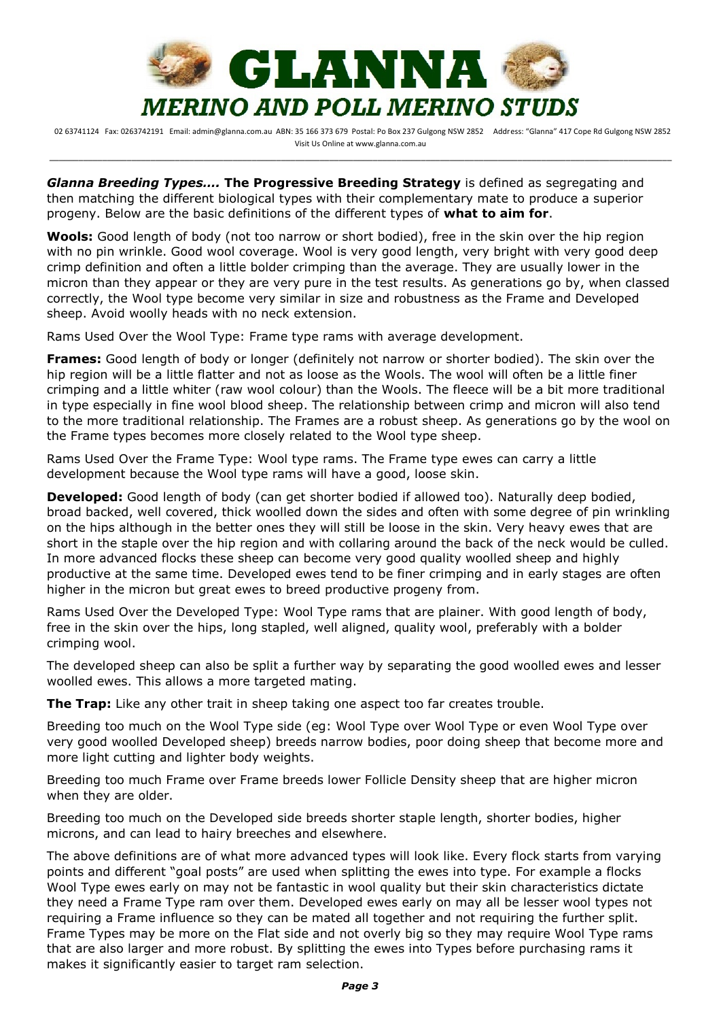

*Glanna Breeding Types….* **The Progressive Breeding Strategy** is defined as segregating and then matching the different biological types with their complementary mate to produce a superior progeny. Below are the basic definitions of the different types of **what to aim for**.

**Wools:** Good length of body (not too narrow or short bodied), free in the skin over the hip region with no pin wrinkle. Good wool coverage. Wool is very good length, very bright with very good deep crimp definition and often a little bolder crimping than the average. They are usually lower in the micron than they appear or they are very pure in the test results. As generations go by, when classed correctly, the Wool type become very similar in size and robustness as the Frame and Developed sheep. Avoid woolly heads with no neck extension.

Rams Used Over the Wool Type: Frame type rams with average development.

**Frames:** Good length of body or longer (definitely not narrow or shorter bodied). The skin over the hip region will be a little flatter and not as loose as the Wools. The wool will often be a little finer crimping and a little whiter (raw wool colour) than the Wools. The fleece will be a bit more traditional in type especially in fine wool blood sheep. The relationship between crimp and micron will also tend to the more traditional relationship. The Frames are a robust sheep. As generations go by the wool on the Frame types becomes more closely related to the Wool type sheep.

Rams Used Over the Frame Type: Wool type rams. The Frame type ewes can carry a little development because the Wool type rams will have a good, loose skin.

**Developed:** Good length of body (can get shorter bodied if allowed too). Naturally deep bodied, broad backed, well covered, thick woolled down the sides and often with some degree of pin wrinkling on the hips although in the better ones they will still be loose in the skin. Very heavy ewes that are short in the staple over the hip region and with collaring around the back of the neck would be culled. In more advanced flocks these sheep can become very good quality woolled sheep and highly productive at the same time. Developed ewes tend to be finer crimping and in early stages are often higher in the micron but great ewes to breed productive progeny from.

Rams Used Over the Developed Type: Wool Type rams that are plainer. With good length of body, free in the skin over the hips, long stapled, well aligned, quality wool, preferably with a bolder crimping wool.

The developed sheep can also be split a further way by separating the good woolled ewes and lesser woolled ewes. This allows a more targeted mating.

**The Trap:** Like any other trait in sheep taking one aspect too far creates trouble.

Breeding too much on the Wool Type side (eg: Wool Type over Wool Type or even Wool Type over very good woolled Developed sheep) breeds narrow bodies, poor doing sheep that become more and more light cutting and lighter body weights.

Breeding too much Frame over Frame breeds lower Follicle Density sheep that are higher micron when they are older.

Breeding too much on the Developed side breeds shorter staple length, shorter bodies, higher microns, and can lead to hairy breeches and elsewhere.

The above definitions are of what more advanced types will look like. Every flock starts from varying points and different "goal posts" are used when splitting the ewes into type. For example a flocks Wool Type ewes early on may not be fantastic in wool quality but their skin characteristics dictate they need a Frame Type ram over them. Developed ewes early on may all be lesser wool types not requiring a Frame influence so they can be mated all together and not requiring the further split. Frame Types may be more on the Flat side and not overly big so they may require Wool Type rams that are also larger and more robust. By splitting the ewes into Types before purchasing rams it makes it significantly easier to target ram selection.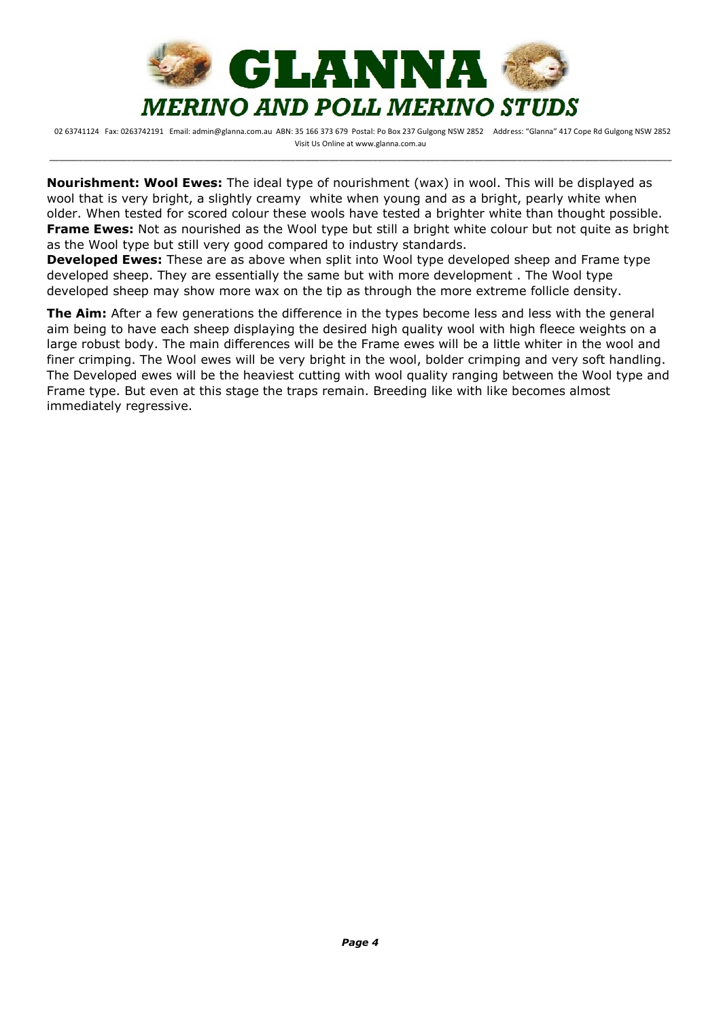

**Nourishment: Wool Ewes:** The ideal type of nourishment (wax) in wool. This will be displayed as wool that is very bright, a slightly creamy white when young and as a bright, pearly white when older. When tested for scored colour these wools have tested a brighter white than thought possible. **Frame Ewes:** Not as nourished as the Wool type but still a bright white colour but not quite as bright as the Wool type but still very good compared to industry standards.

**Developed Ewes:** These are as above when split into Wool type developed sheep and Frame type developed sheep. They are essentially the same but with more development . The Wool type developed sheep may show more wax on the tip as through the more extreme follicle density.

**The Aim:** After a few generations the difference in the types become less and less with the general aim being to have each sheep displaying the desired high quality wool with high fleece weights on a large robust body. The main differences will be the Frame ewes will be a little whiter in the wool and finer crimping. The Wool ewes will be very bright in the wool, bolder crimping and very soft handling. The Developed ewes will be the heaviest cutting with wool quality ranging between the Wool type and Frame type. But even at this stage the traps remain. Breeding like with like becomes almost immediately regressive.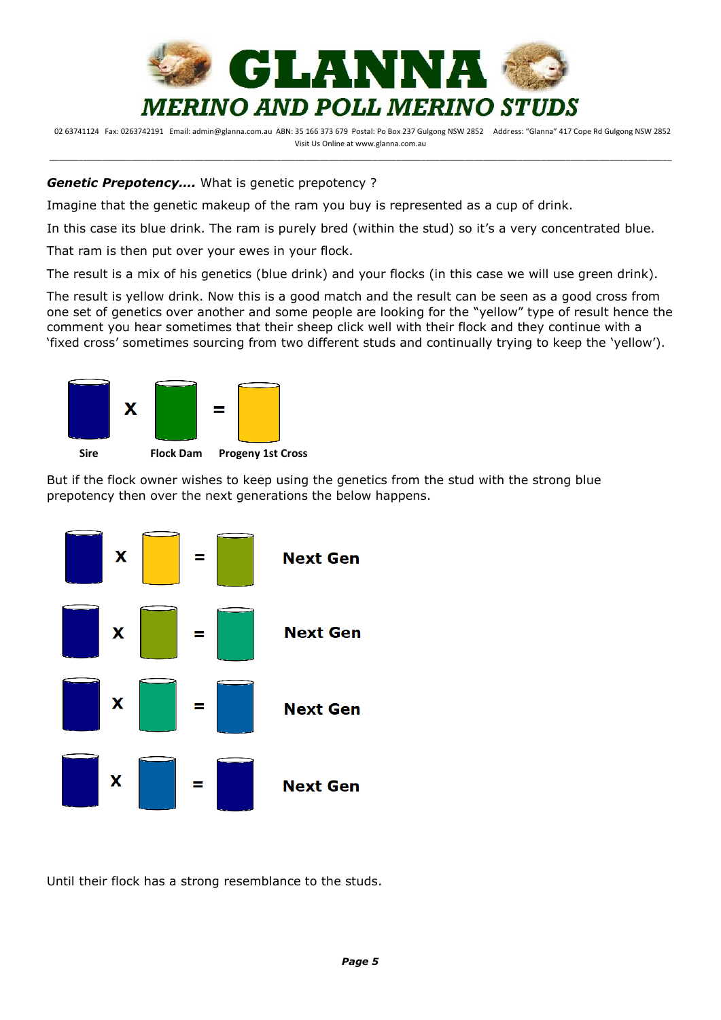

## *Genetic Prepotency….* What is genetic prepotency ?

Imagine that the genetic makeup of the ram you buy is represented as a cup of drink.

In this case its blue drink. The ram is purely bred (within the stud) so it's a very concentrated blue.

That ram is then put over your ewes in your flock.

The result is a mix of his genetics (blue drink) and your flocks (in this case we will use green drink).

The result is yellow drink. Now this is a good match and the result can be seen as a good cross from one set of genetics over another and some people are looking for the "yellow" type of result hence the comment you hear sometimes that their sheep click well with their flock and they continue with a 'fixed cross' sometimes sourcing from two different studs and continually trying to keep the 'yellow').



But if the flock owner wishes to keep using the genetics from the stud with the strong blue prepotency then over the next generations the below happens.



Until their flock has a strong resemblance to the studs.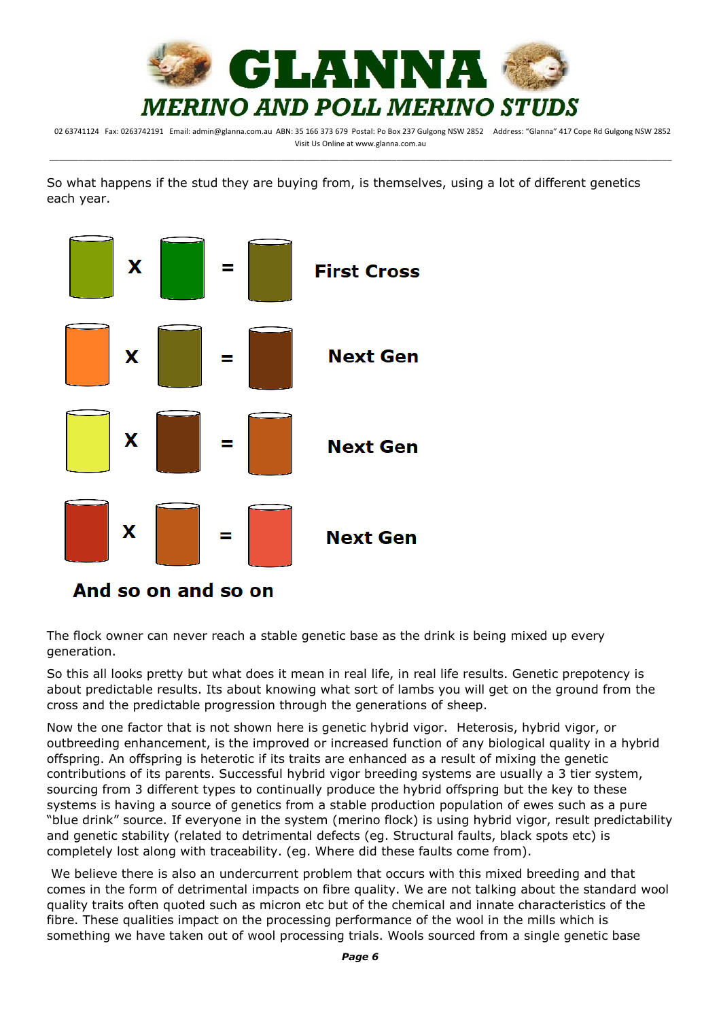

So what happens if the stud they are buying from, is themselves, using a lot of different genetics each year.



The flock owner can never reach a stable genetic base as the drink is being mixed up every generation.

So this all looks pretty but what does it mean in real life, in real life results. Genetic prepotency is about predictable results. Its about knowing what sort of lambs you will get on the ground from the cross and the predictable progression through the generations of sheep.

Now the one factor that is not shown here is genetic hybrid vigor. Heterosis, hybrid vigor, or outbreeding enhancement, is the improved or increased function of any biological quality in a hybrid offspring. An offspring is heterotic if its traits are enhanced as a result of mixing the genetic contributions of its parents. Successful hybrid vigor breeding systems are usually a 3 tier system, sourcing from 3 different types to continually produce the hybrid offspring but the key to these systems is having a source of genetics from a stable production population of ewes such as a pure "blue drink" source. If everyone in the system (merino flock) is using hybrid vigor, result predictability and genetic stability (related to detrimental defects (eg. Structural faults, black spots etc) is completely lost along with traceability. (eg. Where did these faults come from).

We believe there is also an undercurrent problem that occurs with this mixed breeding and that comes in the form of detrimental impacts on fibre quality. We are not talking about the standard wool quality traits often quoted such as micron etc but of the chemical and innate characteristics of the fibre. These qualities impact on the processing performance of the wool in the mills which is something we have taken out of wool processing trials. Wools sourced from a single genetic base